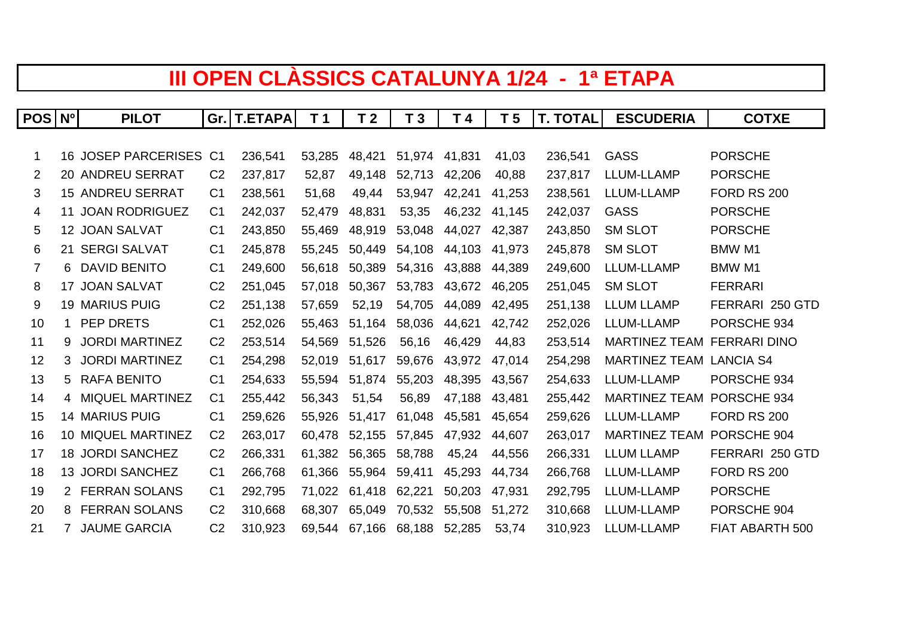## **III OPEN CLÀSSICS CATALUNYA 1/24 - 1ª ETAPA**

| <b>POS</b> | N <sub>0</sub> | <b>PILOT</b>            |                | Gr.   T.ETAPA | T <sub>1</sub> | T <sub>2</sub> | T <sub>3</sub> | T 4    | T <sub>5</sub> | <b>T. TOTAL</b> | <b>ESCUDERIA</b>     | <b>COTXE</b>        |
|------------|----------------|-------------------------|----------------|---------------|----------------|----------------|----------------|--------|----------------|-----------------|----------------------|---------------------|
|            |                |                         |                |               |                |                |                |        |                |                 |                      |                     |
| 1          |                | 16 JOSEP PARCERISES C1  |                | 236.541       | 53.285         | 48.421         | 51.974 41.831  |        | 41.03          | 236.541         | <b>GASS</b>          | <b>PORSCHE</b>      |
| 2          |                | 20 ANDREU SERRAT        | C <sub>2</sub> | 237,817       | 52.87          | 49.148         | 52,713         | 42,206 | 40,88          | 237,817         | LLUM-LLAMP           | <b>PORSCHE</b>      |
| 3          |                | <b>15 ANDREU SERRAT</b> | C <sub>1</sub> | 238,561       | 51,68          | 49.44          | 53.947         | 42,241 | 41.253         | 238,561         | LLUM-LLAMP           | <b>FORD RS 200</b>  |
| 4          | 11             | <b>JOAN RODRIGUEZ</b>   | C <sub>1</sub> | 242,037       | 52.479         | 48.831         | 53.35          | 46.232 | 41,145         | 242,037         | GASS                 | <b>PORSCHE</b>      |
| 5          |                | 12 JOAN SALVAT          | C <sub>1</sub> | 243,850       | 55,469         | 48,919         | 53,048         | 44,027 | 42,387         | 243,850         | <b>SM SLOT</b>       | <b>PORSCHE</b>      |
| 6          |                | 21 SERGI SALVAT         | C <sub>1</sub> | 245,878       | 55.245         | 50.449         | 54,108         | 44.103 | 41.973         | 245,878         | <b>SM SLOT</b>       | <b>BMW M1</b>       |
| 7          | 6              | <b>DAVID BENITO</b>     | C <sub>1</sub> | 249,600       | 56.618         | 50.389         | 54,316         | 43,888 | 44.389         | 249,600         | LLUM-LLAMP           | <b>BMW M1</b>       |
| 8          |                | 17 JOAN SALVAT          | C <sub>2</sub> | 251,045       | 57.018         | 50.367         | 53,783         | 43,672 | 46,205         | 251,045         | <b>SM SLOT</b>       | <b>FERRARI</b>      |
| 9          |                | <b>19 MARIUS PUIG</b>   | C <sub>2</sub> | 251,138       | 57.659         | 52,19          | 54,705         | 44.089 | 42.495         | 251,138         | <b>LLUM LLAMP</b>    | FERRARI 250 GTD     |
| 10         | 1              | PEP DRETS               | C <sub>1</sub> | 252,026       | 55.463         | 51.164         | 58,036         | 44,621 | 42,742         | 252,026         | LLUM-LLAMP           | PORSCHE 934         |
| 11         | 9              | <b>JORDI MARTINEZ</b>   | C <sub>2</sub> | 253,514       | 54.569         | 51.526         | 56.16          | 46.429 | 44.83          | 253,514         | <b>MARTINEZ TEAM</b> | <b>FERRARI DINO</b> |
| 12         | 3              | <b>JORDI MARTINEZ</b>   | C <sub>1</sub> | 254,298       | 52.019         | 51,617         | 59,676         | 43.972 | 47.014         | 254,298         | <b>MARTINEZ TEAM</b> | <b>LANCIA S4</b>    |
| 13         | 5              | <b>RAFA BENITO</b>      | C <sub>1</sub> | 254,633       | 55.594         | 51,874         | 55,203         | 48,395 | 43,567         | 254,633         | LLUM-LLAMP           | PORSCHE 934         |
| 14         |                | 4 MIQUEL MARTINEZ       | C <sub>1</sub> | 255,442       | 56.343         | 51.54          | 56.89          | 47.188 | 43.481         | 255,442         | <b>MARTINEZ TEAM</b> | PORSCHE 934         |
| 15         |                | <b>14 MARIUS PUIG</b>   | C <sub>1</sub> | 259.626       | 55.926         | 51.417         | 61.048         | 45.581 | 45.654         | 259,626         | LLUM-LLAMP           | <b>FORD RS 200</b>  |
| 16         |                | 10 MIQUEL MARTINEZ      | C <sub>2</sub> | 263,017       | 60.478         | 52.155         | 57,845         | 47.932 | 44.607         | 263,017         | <b>MARTINEZ TEAM</b> | PORSCHE 904         |
| 17         |                | 18 JORDI SANCHEZ        | C <sub>2</sub> | 266,331       | 61.382         | 56.365         | 58,788         | 45,24  | 44.556         | 266,331         | <b>LLUM LLAMP</b>    | FERRARI 250 GTD     |
| 18         |                | 13 JORDI SANCHEZ        | C <sub>1</sub> | 266,768       | 61,366         | 55,964         | 59,411         | 45,293 | 44,734         | 266,768         | LLUM-LLAMP           | <b>FORD RS 200</b>  |
| 19         |                | 2 FERRAN SOLANS         | C <sub>1</sub> | 292,795       | 71,022         | 61.418         | 62,221         | 50,203 | 47,931         | 292,795         | LLUM-LLAMP           | <b>PORSCHE</b>      |
| 20         | 8              | <b>FERRAN SOLANS</b>    | C <sub>2</sub> | 310.668       | 68.307         | 65.049         | 70.532         | 55.508 | 51.272         | 310,668         | LLUM-LLAMP           | PORSCHE 904         |
| 21         | $7^{\circ}$    | <b>JAUME GARCIA</b>     | C <sub>2</sub> | 310,923       |                | 69,544 67,166  | 68,188         | 52,285 | 53,74          | 310,923         | LLUM-LLAMP           | FIAT ABARTH 500     |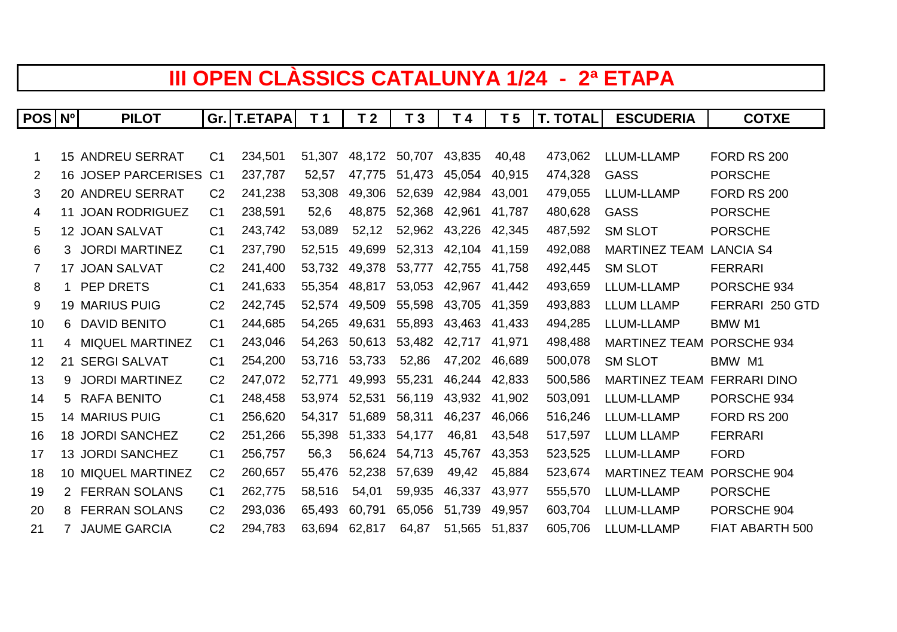## **III OPEN CLÀSSICS CATALUNYA 1/24 - 2ª ETAPA**

| POS | N <sub>o</sub> | <b>PILOT</b>               |                | Gr. T.ETAPA | T <sub>1</sub> | T <sub>2</sub> | T <sub>3</sub> | T 4    | T <sub>5</sub> | <b>T. TOTAL</b> | <b>ESCUDERIA</b>     | <b>COTXE</b>        |
|-----|----------------|----------------------------|----------------|-------------|----------------|----------------|----------------|--------|----------------|-----------------|----------------------|---------------------|
|     |                |                            |                |             |                |                |                |        |                |                 |                      |                     |
| 1   |                | <b>15 ANDREU SERRAT</b>    | C <sub>1</sub> | 234.501     | 51.307         | 48.172         | 50.707         | 43.835 | 40.48          | 473,062         | LLUM-LLAMP           | <b>FORD RS 200</b>  |
| 2   |                | <b>16 JOSEP PARCERISES</b> | C <sub>1</sub> | 237.787     | 52.57          | 47.775         | 51.473         | 45.054 | 40.915         | 474.328         | GASS                 | <b>PORSCHE</b>      |
| 3   |                | 20 ANDREU SERRAT           | C <sub>2</sub> | 241,238     | 53,308         | 49.306         | 52,639         | 42,984 | 43,001         | 479,055         | LLUM-LLAMP           | <b>FORD RS 200</b>  |
| 4   |                | 11 JOAN RODRIGUEZ          | C <sub>1</sub> | 238,591     | 52,6           | 48.875         | 52,368         | 42,961 | 41.787         | 480,628         | GASS                 | <b>PORSCHE</b>      |
| 5   |                | 12 JOAN SALVAT             | C <sub>1</sub> | 243,742     | 53.089         | 52.12          | 52,962         | 43,226 | 42.345         | 487.592         | <b>SM SLOT</b>       | <b>PORSCHE</b>      |
| 6   | 3              | <b>JORDI MARTINEZ</b>      | C <sub>1</sub> | 237,790     | 52,515         | 49.699         | 52,313         | 42,104 | 41.159         | 492,088         | <b>MARTINEZ TEAM</b> | <b>LANCIA S4</b>    |
| 7   |                | 17 JOAN SALVAT             | C <sub>2</sub> | 241,400     | 53.732         | 49.378         | 53.777         | 42,755 | 41.758         | 492,445         | <b>SM SLOT</b>       | <b>FERRARI</b>      |
| 8   | $\mathbf{1}$   | PEP DRETS                  | C <sub>1</sub> | 241,633     | 55.354         | 48.817         | 53,053         | 42.967 | 41.442         | 493,659         | LLUM-LLAMP           | PORSCHE 934         |
| 9   |                | <b>19 MARIUS PUIG</b>      | C <sub>2</sub> | 242,745     | 52.574         | 49,509         | 55,598         | 43,705 | 41,359         | 493,883         | <b>LLUM LLAMP</b>    | FERRARI 250 GTD     |
| 10  | 6              | <b>DAVID BENITO</b>        | C <sub>1</sub> | 244,685     | 54,265         | 49.631         | 55,893         | 43,463 | 41.433         | 494,285         | LLUM-LLAMP           | <b>BMW M1</b>       |
| 11  | 4              | <b>MIQUEL MARTINEZ</b>     | C <sub>1</sub> | 243.046     | 54.263         | 50.613         | 53.482         | 42.717 | 41.971         | 498,488         | <b>MARTINEZ TEAM</b> | PORSCHE 934         |
| 12  |                | 21 SERGI SALVAT            | C <sub>1</sub> | 254,200     | 53.716         | 53.733         | 52,86          | 47.202 | 46.689         | 500,078         | <b>SM SLOT</b>       | BMW M1              |
| 13  | 9              | <b>JORDI MARTINEZ</b>      | C <sub>2</sub> | 247,072     | 52.771         | 49,993         | 55,231         | 46,244 | 42.833         | 500,586         | <b>MARTINEZ TEAM</b> | <b>FERRARI DINO</b> |
| 14  | 5              | <b>RAFA BENITO</b>         | C <sub>1</sub> | 248,458     | 53.974         | 52.531         | 56,119         | 43.932 | 41,902         | 503,091         | LLUM-LLAMP           | PORSCHE 934         |
| 15  |                | <b>14 MARIUS PUIG</b>      | C <sub>1</sub> | 256.620     | 54.317         | 51.689         | 58.311         | 46.237 | 46.066         | 516,246         | LLUM-LLAMP           | <b>FORD RS 200</b>  |
| 16  |                | 18 JORDI SANCHEZ           | C <sub>2</sub> | 251,266     | 55,398         | 51,333         | 54,177         | 46,81  | 43,548         | 517,597         | <b>LLUM LLAMP</b>    | <b>FERRARI</b>      |
| 17  |                | 13 JORDI SANCHEZ           | C <sub>1</sub> | 256,757     | 56,3           | 56.624         | 54,713         | 45,767 | 43.353         | 523,525         | LLUM-LLAMP           | <b>FORD</b>         |
| 18  |                | 10 MIQUEL MARTINEZ         | C <sub>2</sub> | 260,657     | 55.476         | 52.238         | 57,639         | 49,42  | 45.884         | 523,674         | <b>MARTINEZ TEAM</b> | PORSCHE 904         |
| 19  |                | 2 FERRAN SOLANS            | C <sub>1</sub> | 262,775     | 58,516         | 54,01          | 59,935         | 46,337 | 43,977         | 555,570         | LLUM-LLAMP           | <b>PORSCHE</b>      |
| 20  | 8              | <b>FERRAN SOLANS</b>       | C <sub>2</sub> | 293,036     | 65.493         | 60.791         | 65,056         | 51,739 | 49.957         | 603,704         | LLUM-LLAMP           | PORSCHE 904         |
| 21  | $\overline{7}$ | <b>JAUME GARCIA</b>        | C <sub>2</sub> | 294,783     | 63.694         | 62,817         | 64,87          | 51.565 | 51.837         | 605.706         | LLUM-LLAMP           | FIAT ABARTH 500     |